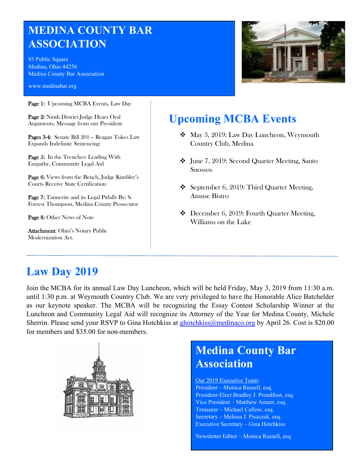# **MEDINA COUNTY BAR ASSOCIATION**

93 Public Square Medina, Ohio 44256 Medina County Bar Association

www.medinabar.org

Page 1: Upcoming MCBA Events, Law Day

Page 2: Ninth District Judge Hears Oral Arguments, Message from our President

Pages 3-4: Senate Bill 201 – Reagan Tokes Law Expands Indefinite Sentencing:

Page 5: In the Trenches: Leading With Empathy, Community Legal Aid

Page 6: Views from the Bench, Judge Kimbler's Courts Receive State Certification

Page 7: Tannerite and its Legal Pitfalls By: S. Forrest Thompson, Medina County Prosecutor

Page 8: Other News of Note

Attachment: Ohio's Notary Public Modernization Act.



# **Upcoming MCBA Events**

- May 3, 2019: Law Day Luncheon, Weymouth Country Club, Medina
- June 7, 2019: Second Quarter Meeting, Santo Suossos
- September 6, 2019: Third Quarter Meeting, Amuse Bistro
- ◆ December 6, 2019: Fourth Quarter Meeting, Williams on the Lake

# **Law Day 2019**

Join the MCBA for its annual Law Day Luncheon, which will be held Friday, May 3, 2019 from 11:30 a.m. until 1:30 p.m. at Weymouth Country Club. We are very privileged to have the Honorable Alice Batchelder as our keynote speaker. The MCBA will be recognizing the Essay Contest Scholarship Winner at the Luncheon and Community Legal Aid will recognize its Attorney of the Year for Medina County, Michele Sherrin. Please send your RSVP to Gina Hotchkiss at ghotchkiss@medinaco.org by April 26. Cost is \$20.00 for members and \$35.00 for non-members.



# **Medina County Bar Association**

Our 2019 Executive Team: President – Monica Russell, esq. President-Elect Bradley J. Proudfoot, esq. Vice President – Matthew Ameer, esq. Treasurer – Michael Callow, esq. Secretary – Melissa J. Piszczek, esq. Executive Secretary – Gina Hotchkiss

Newsletter Editor – Monica Russell, esq.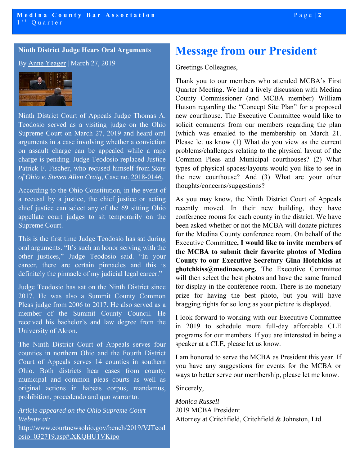**Ninth District Judge Hears Oral Arguments** 

By Anne Yeager | March 27, 2019



Ninth District Court of Appeals Judge Thomas A. Teodosio served as a visiting judge on the Ohio Supreme Court on March 27, 2019 and heard oral arguments in a case involving whether a conviction on assault charge can be appealed while a rape charge is pending. Judge Teodosio replaced Justice Patrick F. Fischer, who recused himself from *State of Ohio v. Steven Allen Craig*, Case no. 2018-0146.

According to the Ohio Constitution, in the event of a recusal by a justice, the chief justice or acting chief justice can select any of the 69 sitting Ohio appellate court judges to sit temporarily on the Supreme Court.

This is the first time Judge Teodosio has sat during oral arguments. "It's such an honor serving with the other justices," Judge Teodosio said. "In your career, there are certain pinnacles and this is definitely the pinnacle of my judicial legal career."

Judge Teodosio has sat on the Ninth District since 2017. He was also a Summit County Common Pleas judge from 2006 to 2017. He also served as a member of the Summit County Council. He received his bachelor's and law degree from the University of Akron.

The Ninth District Court of Appeals serves four counties in northern Ohio and the Fourth District Court of Appeals serves 14 counties in southern Ohio. Both districts hear cases from county, municipal and common pleas courts as well as original actions in habeas corpus, mandamus, prohibition, procedendo and quo warranto.

*Article appeared on the Ohio Supreme Court Website at:* 

http://www.courtnewsohio.gov/bench/2019/VJTeod osio\_032719.asp#.XKQHU1VKipo

# **Message from our President**

Greetings Colleagues,

Thank you to our members who attended MCBA's First Quarter Meeting. We had a lively discussion with Medina County Commissioner (and MCBA member) William Hutson regarding the "Concept Site Plan" for a proposed new courthouse. The Executive Committee would like to solicit comments from our members regarding the plan (which was emailed to the membership on March 21. Please let us know (1) What do you view as the current problems/challenges relating to the physical layout of the Common Pleas and Municipal courthouses? (2) What types of physical spaces/layouts would you like to see in the new courthouse? And (3) What are your other thoughts/concerns/suggestions?

As you may know, the Ninth District Court of Appeals recently moved. In their new building, they have conference rooms for each county in the district. We have been asked whether or not the MCBA will donate pictures for the Medina County conference room. On behalf of the Executive Committee**, I would like to invite members of the MCBA to submit their favorite photos of Medina County to our Executive Secretary Gina Hotchkiss at ghotchkiss@medinaco.org.** The Executive Committee will then select the best photos and have the same framed for display in the conference room. There is no monetary prize for having the best photo, but you will have bragging rights for so long as your picture is displayed.

I look forward to working with our Executive Committee in 2019 to schedule more full-day affordable CLE programs for our members. If you are interested in being a speaker at a CLE, please let us know.

I am honored to serve the MCBA as President this year. If you have any suggestions for events for the MCBA or ways to better serve our membership, please let me know.

Sincerely,

*Monica Russell*  2019 MCBA President Attorney at Critchfield, Critchfield & Johnston, Ltd.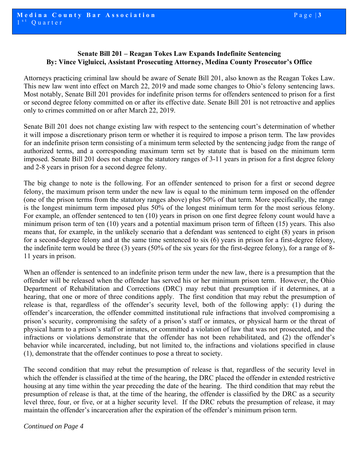# **Senate Bill 201 – Reagan Tokes Law Expands Indefinite Sentencing By: Vince Vigluicci, Assistant Prosecuting Attorney, Medina County Prosecutor's Office**

Attorneys practicing criminal law should be aware of Senate Bill 201, also known as the Reagan Tokes Law. This new law went into effect on March 22, 2019 and made some changes to Ohio's felony sentencing laws. Most notably, Senate Bill 201 provides for indefinite prison terms for offenders sentenced to prison for a first or second degree felony committed on or after its effective date. Senate Bill 201 is not retroactive and applies only to crimes committed on or after March 22, 2019.

imposed. Senate Bill 201 does not change the statutory ranges of 3-11 years in prison for a first degree felony<br>and 2-8 years in prison for a second degree felony. Senate Bill 201 does not change existing law with respect to the sentencing court's determination of whether it will impose a discretionary prison term or whether it is required to impose a prison term. The law provides for an indefinite prison term consisting of a minimum term selected by the sentencing judge from the range of authorized terms, and a corresponding maximum term set by statute that is based on the minimum term and 2-8 years in prison for a second degree felony.

The big change to note is the following. For an offender sentenced to prison for a first or second degree felony, the maximum prison term under the new law is equal to the minimum term imposed on the offender (one of the prison terms from the statutory ranges above) plus 50% of that term. More specifically, the range is the longest minimum term imposed plus 50% of the longest minimum term for the most serious felony. For example, an offender sentenced to ten (10) years in prison on one first degree felony count would have a minimum prison term of ten (10) years and a potential maximum prison term of fifteen (15) years. This also means that, for example, in the unlikely scenario that a defendant was sentenced to eight (8) years in prison for a second-degree felony and at the same time sentenced to six (6) years in prison for a first-degree felony, the indefinite term would be three (3) years (50% of the six years for the first-degree felony), for a range of 8- 11 years in prison.

When an offender is sentenced to an indefinite prison term under the new law, there is a presumption that the offender will be released when the offender has served his or her minimum prison term. However, the Ohio Department of Rehabilitation and Corrections (DRC) may rebut that presumption if it determines, at a hearing, that one or more of three conditions apply. The first condition that may rebut the presumption of release is that, regardless of the offender's security level, both of the following apply: (1) during the offender's incarceration, the offender committed institutional rule infractions that involved compromising a prison's security, compromising the safety of a prison's staff or inmates, or physical harm or the threat of physical harm to a prison's staff or inmates, or committed a violation of law that was not prosecuted, and the infractions or violations demonstrate that the offender has not been rehabilitated, and (2) the offender's behavior while incarcerated, including, but not limited to, the infractions and violations specified in clause (1), demonstrate that the offender continues to pose a threat to society.

The second condition that may rebut the presumption of release is that, regardless of the security level in which the offender is classified at the time of the hearing, the DRC placed the offender in extended restrictive housing at any time within the year preceding the date of the hearing. The third condition that may rebut the presumption of release is that, at the time of the hearing, the offender is classified by the DRC as a security level three, four, or five, or at a higher security level. If the DRC rebuts the presumption of release, it may maintain the offender's incarceration after the expiration of the offender's minimum prison term.

*Continued on Page 4*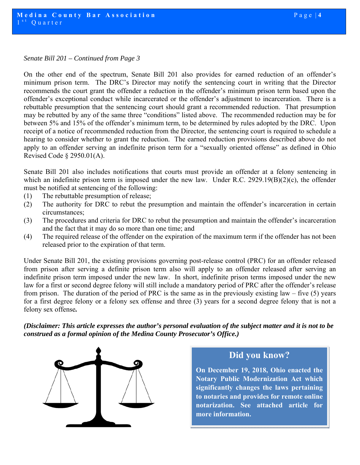#### *Senate Bill 201 – Continued from Page 3*

On the other end of the spectrum, Senate Bill 201 also provides for earned reduction of an offender's minimum prison term. The DRC's Director may notify the sentencing court in writing that the Director recommends the court grant the offender a reduction in the offender's minimum prison term based upon the offender's exceptional conduct while incarcerated or the offender's adjustment to incarceration. There is a rebuttable presumption that the sentencing court should grant a recommended reduction. That presumption may be rebutted by any of the same three "conditions" listed above. The recommended reduction may be for between 5% and 15% of the offender's minimum term, to be determined by rules adopted by the DRC. Upon receipt of a notice of recommended reduction from the Director, the sentencing court is required to schedule a hearing to consider whether to grant the reduction. The earned reduction provisions described above do not apply to an offender serving an indefinite prison term for a "sexually oriented offense" as defined in Ohio Revised Code § 2950.01(A).

Senate Bill 201 also includes notifications that courts must provide an offender at a felony sentencing in which an indefinite prison term is imposed under the new law. Under R.C. 2929.19(B)(2)(c), the offender must be notified at sentencing of the following:

- (1) The rebuttable presumption of release;
- (2) The authority for DRC to rebut the presumption and maintain the offender's incarceration in certain circumstances;
- (3) The procedures and criteria for DRC to rebut the presumption and maintain the offender's incarceration and the fact that it may do so more than one time; and
- (4) The required release of the offender on the expiration of the maximum term if the offender has not been released prior to the expiration of that term.

Under Senate Bill 201, the existing provisions governing post-release control (PRC) for an offender released from prison after serving a definite prison term also will apply to an offender released after serving an indefinite prison term imposed under the new law. In short, indefinite prison terms imposed under the new law for a first or second degree felony will still include a mandatory period of PRC after the offender's release from prison. The duration of the period of PRC is the same as in the previously existing law – five (5) years for a first degree felony or a felony sex offense and three (3) years for a second degree felony that is not a felony sex offense*.* 

*(Disclaimer: This article expresses the author's personal evaluation of the subject matter and it is not to be construed as a formal opinion of the Medina County Prosecutor's Office.)* 



# **Did you know?**

**On December 19, 2018, Ohio enacted the Notary Public Modernization Act which significantly changes the laws pertaining to notaries and provides for remote online notarization. See attached article for more information.**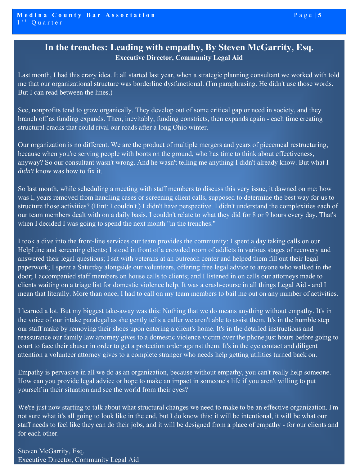# **In the trenches: Leading with empathy, By Steven McGarrity, Esq. Executive Director, Community Legal Aid**

Last month, I had this crazy idea. It all started last year, when a strategic planning consultant we worked with told me that our organizational structure was borderline dysfunctional. (I'm paraphrasing. He didn't use those words. But I can read between the lines.)

See, nonprofits tend to grow organically. They develop out of some critical gap or need in society, and they branch off as funding expands. Then, inevitably, funding constricts, then expands again - each time creating structural cracks that could rival our roads after a long Ohio winter.

Our organization is no different. We are the product of multiple mergers and years of piecemeal restructuring, because when you're serving people with boots on the ground, who has time to think about effectiveness, anyway? So our consultant wasn't wrong. And he wasn't telling me anything I didn't already know. But what I *didn't* know was how to fix it.

So last month, while scheduling a meeting with staff members to discuss this very issue, it dawned on me: how was I, years removed from handling cases or screening client calls, supposed to determine the best way for us to structure those activities? (Hint: I couldn't.) I didn't have perspective. I didn't understand the complexities each of our team members dealt with on a daily basis. I couldn't relate to what they did for 8 or 9 hours every day. That's when I decided I was going to spend the next month "in the trenches."

I took a dive into the front-line services our team provides the community: I spent a day taking calls on our HelpLine and screening clients; I stood in front of a crowded room of addicts in various stages of recovery and answered their legal questions; I sat with veterans at an outreach center and helped them fill out their legal paperwork; I spent a Saturday alongside our volunteers, offering free legal advice to anyone who walked in the door; I accompanied staff members on house calls to clients; and I listened in on calls our attorneys made to clients waiting on a triage list for domestic violence help. It was a crash-course in all things Legal Aid - and I mean that literally. More than once, I had to call on my team members to bail me out on any number of activities.

I learned a lot. But my biggest take-away was this: Nothing that we do means anything without empathy. It's in the voice of our intake paralegal as she gently tells a caller we aren't able to assist them. It's in the humble step our staff make by removing their shoes upon entering a client's home. It's in the detailed instructions and reassurance our family law attorney gives to a domestic violence victim over the phone just hours before going to court to face their abuser in order to get a protection order against them. It's in the eye contact and diligent attention a volunteer attorney gives to a complete stranger who needs help getting utilities turned back on.

Empathy is pervasive in all we do as an organization, because without empathy, you can't really help someone. How can you provide legal advice or hope to make an impact in someone's life if you aren't willing to put yourself in their situation and see the world from their eyes?

We're just now starting to talk about what structural changes we need to make to be an effective organization. I'm not sure what it's all going to look like in the end, but I do know this: it will be intentional, it will be what our staff needs to feel like they can do their jobs, and it will be designed from a place of empathy - for our clients and for each other.

 Steven McGarrity, Esq. Executive Director, Community Legal Aid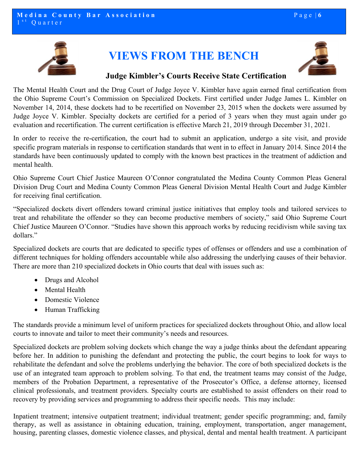

# **VIEWS FROM THE BENCH**



# **Judge Kimbler's Courts Receive State Certification**

The Mental Health Court and the Drug Court of Judge Joyce V. Kimbler have again earned final certification from the Ohio Supreme Court's Commission on Specialized Dockets. First certified under Judge James L. Kimbler on November 14, 2014, these dockets had to be recertified on November 23, 2015 when the dockets were assumed by Judge Joyce V. Kimbler. Specialty dockets are certified for a period of 3 years when they must again under go evaluation and recertification. The current certification is effective March 21, 2019 through December 31, 2021.

In order to receive the re-certification, the court had to submit an application, undergo a site visit, and provide specific program materials in response to certification standards that went in to effect in January 2014. Since 2014 the standards have been continuously updated to comply with the known best practices in the treatment of addiction and mental health.

Ohio Supreme Court Chief Justice Maureen O'Connor congratulated the Medina County Common Pleas General Division Drug Court and Medina County Common Pleas General Division Mental Health Court and Judge Kimbler for receiving final certification.

"Specialized dockets divert offenders toward criminal justice initiatives that employ tools and tailored services to treat and rehabilitate the offender so they can become productive members of society," said Ohio Supreme Court Chief Justice Maureen O'Connor. "Studies have shown this approach works by reducing recidivism while saving tax dollars."

Specialized dockets are courts that are dedicated to specific types of offenses or offenders and use a combination of different techniques for holding offenders accountable while also addressing the underlying causes of their behavior. There are more than 210 specialized dockets in Ohio courts that deal with issues such as:

- Drugs and Alcohol
- Mental Health
- Domestic Violence
- Human Trafficking

The standards provide a minimum level of uniform practices for specialized dockets throughout Ohio, and allow local courts to innovate and tailor to meet their community's needs and resources.

Specialized dockets are problem solving dockets which change the way a judge thinks about the defendant appearing before her. In addition to punishing the defendant and protecting the public, the court begins to look for ways to rehabilitate the defendant and solve the problems underlying the behavior. The core of both specialized dockets is the use of an integrated team approach to problem solving. To that end, the treatment teams may consist of the Judge, members of the Probation Department, a representative of the Prosecutor's Office, a defense attorney, licensed clinical professionals, and treatment providers. Specialty courts are established to assist offenders on their road to recovery by providing services and programming to address their specific needs. This may include:

Inpatient treatment; intensive outpatient treatment; individual treatment; gender specific programming; and, family therapy, as well as assistance in obtaining education, training, employment, transportation, anger management, housing, parenting classes, domestic violence classes, and physical, dental and mental health treatment. A participant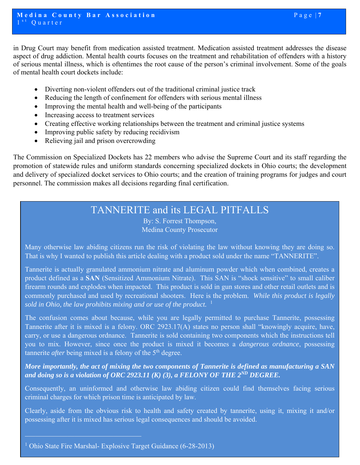- Diverting non-violent offenders out of the traditional criminal justice track
- Reducing the length of confinement for offenders with serious mental illness
- Improving the mental health and well-being of the participants
- Increasing access to treatment services
- Creating effective working relationships between the treatment and criminal justice systems
- Improving public safety by reducing recidivism
- Relieving jail and prison overcrowding

The Commission on Specialized Dockets has 22 members who advise the Supreme Court and its staff regarding the promotion of statewide rules and uniform standards concerning specialized dockets in Ohio courts; the development and delivery of specialized docket services to Ohio courts; and the creation of training programs for judges and court personnel. The commission makes all decisions regarding final certification.

# TANNERITE and its LEGAL PITFALLS

By: S. Forrest Thompson, Medina County Prosecutor

Many otherwise law abiding citizens run the risk of violating the law without knowing they are doing so. That is why I wanted to publish this article dealing with a product sold under the name "TANNERITE".

Tannerite is actually granulated ammonium nitrate and aluminum powder which when combined, creates a product defined as a **SAN** (Sensitized Ammonium Nitrate). This SAN is "shock sensitive" to small caliber firearm rounds and explodes when impacted. This product is sold in gun stores and other retail outlets and is commonly purchased and used by recreational shooters. Here is the problem. *While this product is legally sold in Ohio, the law prohibits mixing and or use of the product.*  $1$ 

The confusion comes about because, while you are legally permitted to purchase Tannerite, possessing Tannerite after it is mixed is a felony. ORC 2923.17(A) states no person shall "knowingly acquire, have, carry, or use a dangerous ordnance. Tannerite is sold containing two components which the instructions tell you to mix. However, since once the product is mixed it becomes a *dangerous ordnance*, possessing tannerite *after* being mixed is a felony of the 5<sup>th</sup> degree.

*More importantly, the act of mixing the two components of Tannerite is defined as manufacturing a SAN and doing so is a violation of ORC 2923.11 (K) (3), a FELONY OF THE 2ND DEGREE.* 

Consequently, an uninformed and otherwise law abiding citizen could find themselves facing serious criminal charges for which prison time is anticipated by law.

Clearly, aside from the obvious risk to health and safety created by tannerite, using it, mixing it and/or possessing after it is mixed has serious legal consequences and should be avoided.

<sup>&</sup>lt;sup>1</sup> Ohio State Fire Marshal- Explosive Target Guidance (6-28-2013)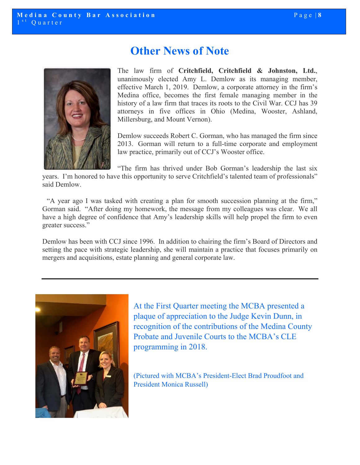

# **Other News of Note**

The law firm of **Critchfield, Critchfield & Johnston, Ltd.**, unanimously elected Amy L. Demlow as its managing member, effective March 1, 2019. Demlow, a corporate attorney in the firm's Medina office, becomes the first female managing member in the history of a law firm that traces its roots to the Civil War. CCJ has 39 attorneys in five offices in Ohio (Medina, Wooster, Ashland, Millersburg, and Mount Vernon).

Demlow succeeds Robert C. Gorman, who has managed the firm since 2013. Gorman will return to a full-time corporate and employment law practice, primarily out of CCJ's Wooster office.

"The firm has thrived under Bob Gorman's leadership the last six

years. I'm honored to have this opportunity to serve Critchfield's talented team of professionals" said Demlow.

 "A year ago I was tasked with creating a plan for smooth succession planning at the firm," Gorman said. "After doing my homework, the message from my colleagues was clear. We all have a high degree of confidence that Amy's leadership skills will help propel the firm to even greater success."

Demlow has been with CCJ since 1996. In addition to chairing the firm's Board of Directors and setting the pace with strategic leadership, she will maintain a practice that focuses primarily on mergers and acquisitions, estate planning and general corporate law.



At the First Quarter meeting the MCBA presented a plaque of appreciation to the Judge Kevin Dunn, in recognition of the contributions of the Medina County Probate and Juvenile Courts to the MCBA's CLE programming in 2018.

(Pictured with MCBA's President-Elect Brad Proudfoot and President Monica Russell)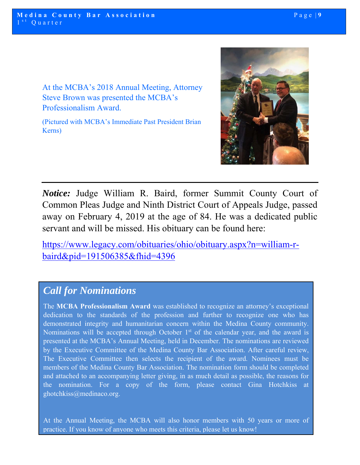At the MCBA's 2018 Annual Meeting, Attorney Steve Brown was presented the MCBA's Professionalism Award.

(Pictured with MCBA's Immediate Past President Brian Kerns)



*Notice:* Judge William R. Baird, former Summit County Court of Common Pleas Judge and Ninth District Court of Appeals Judge, passed away on February 4, 2019 at the age of 84. He was a dedicated public servant and will be missed. His obituary can be found here:

https://www.legacy.com/obituaries/ohio/obituary.aspx?n=william-rbaird&pid=191506385&fhid=4396

# *Call for Nominations*

The **MCBA Professionalism Award** was established to recognize an attorney's exceptional dedication to the standards of the profession and further to recognize one who has demonstrated integrity and humanitarian concern within the Medina County community. Nominations will be accepted through October  $1<sup>st</sup>$  of the calendar year, and the award is presented at the MCBA's Annual Meeting, held in December. The nominations are reviewed by the Executive Committee of the Medina County Bar Association. After careful review, The Executive Committee then selects the recipient of the award. Nominees must be members of the Medina County Bar Association. The nomination form should be completed and attached to an accompanying letter giving, in as much detail as possible, the reasons for the nomination. For a copy of the form, please contact Gina Hotchkiss at ghotchkiss@medinaco.org.

At the Annual Meeting, the MCBA will also honor members with 50 years or more of practice. If you know of anyone who meets this criteria, please let us know!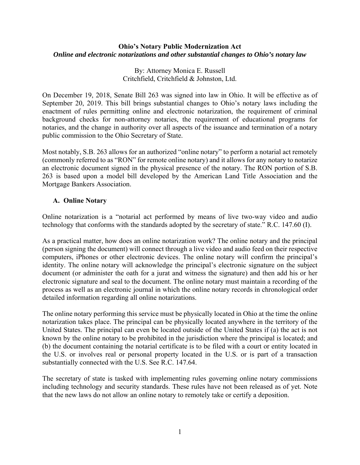### **Ohio's Notary Public Modernization Act**  *Online and electronic notarizations and other substantial changes to Ohio's notary law*

By: Attorney Monica E. Russell Critchfield, Critchfield & Johnston, Ltd.

On December 19, 2018, Senate Bill 263 was signed into law in Ohio. It will be effective as of September 20, 2019. This bill brings substantial changes to Ohio's notary laws including the enactment of rules permitting online and electronic notarization, the requirement of criminal background checks for non-attorney notaries, the requirement of educational programs for notaries, and the change in authority over all aspects of the issuance and termination of a notary public commission to the Ohio Secretary of State.

Most notably, S.B. 263 allows for an authorized "online notary" to perform a notarial act remotely (commonly referred to as "RON" for remote online notary) and it allows for any notary to notarize an electronic document signed in the physical presence of the notary. The RON portion of S.B. 263 is based upon a model bill developed by the American Land Title Association and the Mortgage Bankers Association.

# **A. Online Notary**

Online notarization is a "notarial act performed by means of live two-way video and audio technology that conforms with the standards adopted by the secretary of state." R.C. 147.60 (I).

As a practical matter, how does an online notarization work? The online notary and the principal (person signing the document) will connect through a live video and audio feed on their respective computers, iPhones or other electronic devices. The online notary will confirm the principal's identity. The online notary will acknowledge the principal's electronic signature on the subject document (or administer the oath for a jurat and witness the signature) and then add his or her electronic signature and seal to the document. The online notary must maintain a recording of the process as well as an electronic journal in which the online notary records in chronological order detailed information regarding all online notarizations.

The online notary performing this service must be physically located in Ohio at the time the online notarization takes place. The principal can be physically located anywhere in the territory of the United States. The principal can even be located outside of the United States if (a) the act is not known by the online notary to be prohibited in the jurisdiction where the principal is located; and (b) the document containing the notarial certificate is to be filed with a court or entity located in the U.S. or involves real or personal property located in the U.S. or is part of a transaction substantially connected with the U.S. See R.C. 147.64.

The secretary of state is tasked with implementing rules governing online notary commissions including technology and security standards. These rules have not been released as of yet. Note that the new laws do not allow an online notary to remotely take or certify a deposition.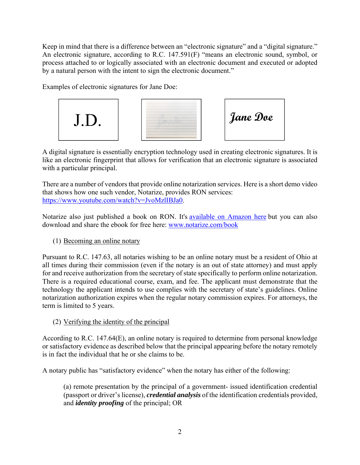Keep in mind that there is a difference between an "electronic signature" and a "digital signature." An electronic signature, according to R.C. 147.591(F) "means an electronic sound, symbol, or process attached to or logically associated with an electronic document and executed or adopted by a natural person with the intent to sign the electronic document."

Examples of electronic signatures for Jane Doe:



A digital signature is essentially encryption technology used in creating electronic signatures. It is like an electronic fingerprint that allows for verification that an electronic signature is associated with a particular principal.

There are a number of vendors that provide online notarization services. Here is a short demo video that shows how one such vendor, Notarize, provides RON services: https://www.youtube.com/watch?v=JvoMzlIBJa0.

Notarize also just published a book on RON. It's available on Amazon here but you can also download and share the ebook for free here: www.notarize.com/book

(1) Becoming an online notary

Pursuant to R.C. 147.63, all notaries wishing to be an online notary must be a resident of Ohio at all times during their commission (even if the notary is an out of state attorney) and must apply for and receive authorization from the secretary of state specifically to perform online notarization. There is a required educational course, exam, and fee. The applicant must demonstrate that the technology the applicant intends to use complies with the secretary of state's guidelines. Online notarization authorization expires when the regular notary commission expires. For attorneys, the term is limited to 5 years.

# (2) Verifying the identity of the principal

According to R.C. 147.64(E), an online notary is required to determine from personal knowledge or satisfactory evidence as described below that the principal appearing before the notary remotely is in fact the individual that he or she claims to be.

A notary public has "satisfactory evidence" when the notary has either of the following:

(a) remote presentation by the principal of a government- issued identification credential (passport or driver's license), *credential analysis* of the identification credentials provided, and *identity proofing* of the principal; OR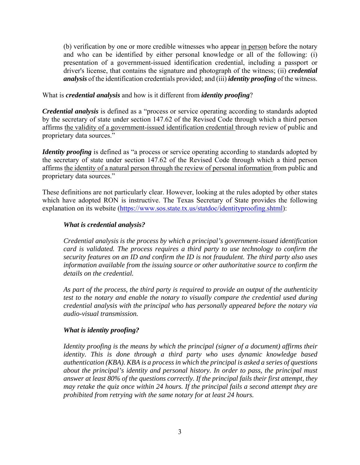(b) verification by one or more credible witnesses who appear in person before the notary and who can be identified by either personal knowledge or all of the following: (i) presentation of a government-issued identification credential, including a passport or driver's license, that contains the signature and photograph of the witness; (ii) *credential analysis* of the identification credentials provided; and (iii) *identity proofing* of the witness.

### What is *credential analysis* and how is it different from *identity proofing*?

*Credential analysis* is defined as a "process or service operating according to standards adopted by the secretary of state under section 147.62 of the Revised Code through which a third person affirms the validity of a government-issued identification credential through review of public and proprietary data sources."

*Identity proofing* is defined as "a process or service operating according to standards adopted by the secretary of state under section 147.62 of the Revised Code through which a third person affirms the identity of a natural person through the review of personal information from public and proprietary data sources."

These definitions are not particularly clear. However, looking at the rules adopted by other states which have adopted RON is instructive. The Texas Secretary of State provides the following explanation on its website (https://www.sos.state.tx.us/statdoc/identityproofing.shtml):

# *What is credential analysis?*

*Credential analysis is the process by which a principal's government-issued identification card is validated. The process requires a third party to use technology to confirm the security features on an ID and confirm the ID is not fraudulent. The third party also uses information available from the issuing source or other authoritative source to confirm the details on the credential.* 

*As part of the process, the third party is required to provide an output of the authenticity test to the notary and enable the notary to visually compare the credential used during credential analysis with the principal who has personally appeared before the notary via audio-visual transmission.* 

#### *What is identity proofing?*

*Identity proofing is the means by which the principal (signer of a document) affirms their identity. This is done through a third party who uses dynamic knowledge based authentication (KBA). KBA is a process in which the principal is asked a series of questions about the principal's identity and personal history. In order to pass, the principal must answer at least 80% of the questions correctly. If the principal fails their first attempt, they may retake the quiz once within 24 hours. If the principal fails a second attempt they are prohibited from retrying with the same notary for at least 24 hours.*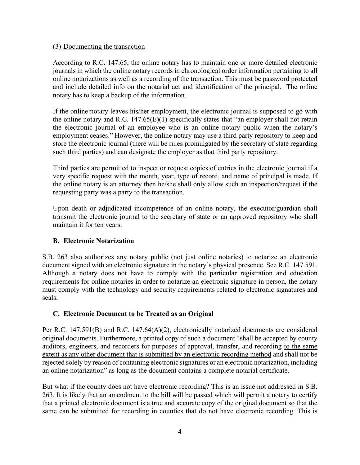### (3) Documenting the transaction

According to R.C. 147.65, the online notary has to maintain one or more detailed electronic journals in which the online notary records in chronological order information pertaining to all online notarizations as well as a recording of the transaction. This must be password protected and include detailed info on the notarial act and identification of the principal. The online notary has to keep a backup of the information.

If the online notary leaves his/her employment, the electronic journal is supposed to go with the online notary and R.C.  $147.65(E)(1)$  specifically states that "an employer shall not retain the electronic journal of an employee who is an online notary public when the notary's employment ceases." However, the online notary may use a third party repository to keep and store the electronic journal (there will be rules promulgated by the secretary of state regarding such third parties) and can designate the employer as that third party repository.

Third parties are permitted to inspect or request copies of entries in the electronic journal if a very specific request with the month, year, type of record, and name of principal is made. If the online notary is an attorney then he/she shall only allow such an inspection/request if the requesting party was a party to the transaction.

Upon death or adjudicated incompetence of an online notary, the executor/guardian shall transmit the electronic journal to the secretary of state or an approved repository who shall maintain it for ten years.

# **B. Electronic Notarization**

S.B. 263 also authorizes any notary public (not just online notaries) to notarize an electronic document signed with an electronic signature in the notary's physical presence. See R.C. 147.591. Although a notary does not have to comply with the particular registration and education requirements for online notaries in order to notarize an electronic signature in person, the notary must comply with the technology and security requirements related to electronic signatures and seals.

# **C. Electronic Document to be Treated as an Original**

Per R.C. 147.591(B) and R.C. 147.64(A)(2), electronically notarized documents are considered original documents. Furthermore, a printed copy of such a document "shall be accepted by county auditors, engineers, and recorders for purposes of approval, transfer, and recording to the same extent as any other document that is submitted by an electronic recording method and shall not be rejected solely by reason of containing electronic signatures or an electronic notarization, including an online notarization" as long as the document contains a complete notarial certificate.

But what if the county does not have electronic recording? This is an issue not addressed in S.B. 263. It is likely that an amendment to the bill will be passed which will permit a notary to certify that a printed electronic document is a true and accurate copy of the original document so that the same can be submitted for recording in counties that do not have electronic recording. This is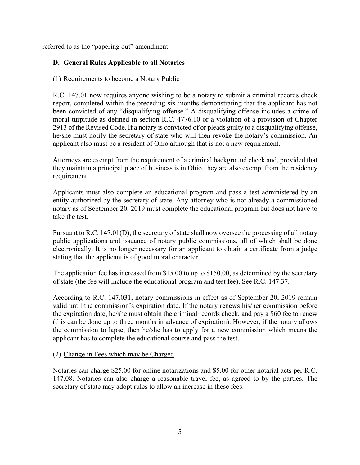referred to as the "papering out" amendment.

# **D. General Rules Applicable to all Notaries**

### (1) Requirements to become a Notary Public

R.C. 147.01 now requires anyone wishing to be a notary to submit a criminal records check report, completed within the preceding six months demonstrating that the applicant has not been convicted of any "disqualifying offense." A disqualifying offense includes a crime of moral turpitude as defined in section R.C. 4776.10 or a violation of a provision of Chapter 2913 of the Revised Code. If a notary is convicted of or pleads guilty to a disqualifying offense, he/she must notify the secretary of state who will then revoke the notary's commission. An applicant also must be a resident of Ohio although that is not a new requirement.

Attorneys are exempt from the requirement of a criminal background check and, provided that they maintain a principal place of business is in Ohio, they are also exempt from the residency requirement.

Applicants must also complete an educational program and pass a test administered by an entity authorized by the secretary of state. Any attorney who is not already a commissioned notary as of September 20, 2019 must complete the educational program but does not have to take the test.

Pursuant to R.C. 147.01(D), the secretary of state shall now oversee the processing of all notary public applications and issuance of notary public commissions, all of which shall be done electronically. It is no longer necessary for an applicant to obtain a certificate from a judge stating that the applicant is of good moral character.

The application fee has increased from \$15.00 to up to \$150.00, as determined by the secretary of state (the fee will include the educational program and test fee). See R.C. 147.37.

According to R.C. 147.031, notary commissions in effect as of September 20, 2019 remain valid until the commission's expiration date. If the notary renews his/her commission before the expiration date, he/she must obtain the criminal records check, and pay a \$60 fee to renew (this can be done up to three months in advance of expiration). However, if the notary allows the commission to lapse, then he/she has to apply for a new commission which means the applicant has to complete the educational course and pass the test.

# (2) Change in Fees which may be Charged

Notaries can charge \$25.00 for online notarizations and \$5.00 for other notarial acts per R.C. 147.08. Notaries can also charge a reasonable travel fee, as agreed to by the parties. The secretary of state may adopt rules to allow an increase in these fees.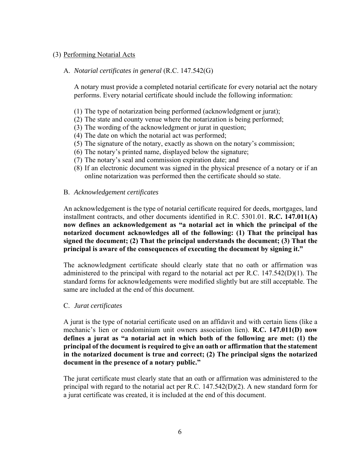#### (3) Performing Notarial Acts

#### A. *Notarial certificates in general* (R.C. 147.542(G)

A notary must provide a completed notarial certificate for every notarial act the notary performs. Every notarial certificate should include the following information:

- (1) The type of notarization being performed (acknowledgment or jurat);
- (2) The state and county venue where the notarization is being performed;
- (3) The wording of the acknowledgment or jurat in question;
- (4) The date on which the notarial act was performed;
- (5) The signature of the notary, exactly as shown on the notary's commission;
- (6) The notary's printed name, displayed below the signature;
- (7) The notary's seal and commission expiration date; and
- (8) If an electronic document was signed in the physical presence of a notary or if an online notarization was performed then the certificate should so state.

#### B. *Acknowledgement certificates*

An acknowledgement is the type of notarial certificate required for deeds, mortgages, land installment contracts, and other documents identified in R.C. 5301.01. **R.C. 147.011(A) now defines an acknowledgement as "a notarial act in which the principal of the notarized document acknowledges all of the following: (1) That the principal has signed the document; (2) That the principal understands the document; (3) That the principal is aware of the consequences of executing the document by signing it."**

The acknowledgment certificate should clearly state that no oath or affirmation was administered to the principal with regard to the notarial act per R.C.  $147.542(D)(1)$ . The standard forms for acknowledgements were modified slightly but are still acceptable. The same are included at the end of this document.

#### C. *Jurat certificates*

A jurat is the type of notarial certificate used on an affidavit and with certain liens (like a mechanic's lien or condominium unit owners association lien). **R.C. 147.011(D) now defines a jurat as "a notarial act in which both of the following are met: (1) the principal of the document is required to give an oath or affirmation that the statement in the notarized document is true and correct; (2) The principal signs the notarized document in the presence of a notary public."**

The jurat certificate must clearly state that an oath or affirmation was administered to the principal with regard to the notarial act per R.C. 147.542(D)(2). A new standard form for a jurat certificate was created, it is included at the end of this document.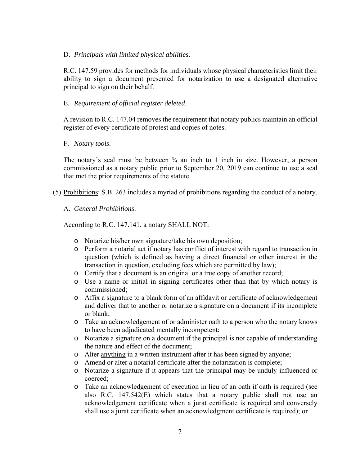#### D. *Principals with limited physical abilities*.

R.C. 147.59 provides for methods for individuals whose physical characteristics limit their ability to sign a document presented for notarization to use a designated alternative principal to sign on their behalf.

### E. *Requirement of official register deleted*.

A revision to R.C. 147.04 removes the requirement that notary publics maintain an official register of every certificate of protest and copies of notes.

#### F. *Notary tools*.

The notary's seal must be between  $\frac{3}{4}$  an inch to 1 inch in size. However, a person commissioned as a notary public prior to September 20, 2019 can continue to use a seal that met the prior requirements of the statute.

(5) Prohibitions: S.B. 263 includes a myriad of prohibitions regarding the conduct of a notary.

#### A. *General Prohibitions*.

According to R.C. 147.141, a notary SHALL NOT:

- o Notarize his/her own signature/take his own deposition;
- o Perform a notarial act if notary has conflict of interest with regard to transaction in question (which is defined as having a direct financial or other interest in the transaction in question, excluding fees which are permitted by law);
- o Certify that a document is an original or a true copy of another record;
- o Use a name or initial in signing certificates other than that by which notary is commissioned;
- o Affix a signature to a blank form of an affidavit or certificate of acknowledgement and deliver that to another or notarize a signature on a document if its incomplete or blank;
- o Take an acknowledgement of or administer oath to a person who the notary knows to have been adjudicated mentally incompetent;
- o Notarize a signature on a document if the principal is not capable of understanding the nature and effect of the document;
- o Alter anything in a written instrument after it has been signed by anyone;
- o Amend or alter a notarial certificate after the notarization is complete;
- o Notarize a signature if it appears that the principal may be unduly influenced or coerced;
- o Take an acknowledgement of execution in lieu of an oath if oath is required (see also R.C. 147.542(E) which states that a notary public shall not use an acknowledgement certificate when a jurat certificate is required and conversely shall use a jurat certificate when an acknowledgment certificate is required); or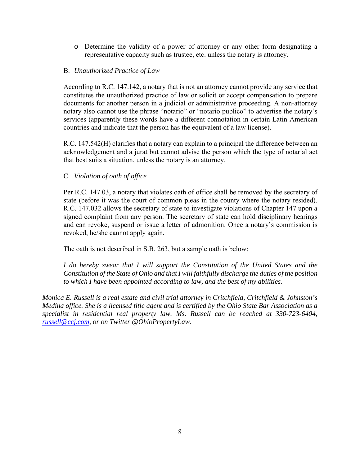o Determine the validity of a power of attorney or any other form designating a representative capacity such as trustee, etc. unless the notary is attorney.

### B. *Unauthorized Practice of Law*

According to R.C. 147.142, a notary that is not an attorney cannot provide any service that constitutes the unauthorized practice of law or solicit or accept compensation to prepare documents for another person in a judicial or administrative proceeding. A non-attorney notary also cannot use the phrase "notario" or "notario publico" to advertise the notary's services (apparently these words have a different connotation in certain Latin American countries and indicate that the person has the equivalent of a law license).

R.C. 147.542(H) clarifies that a notary can explain to a principal the difference between an acknowledgement and a jurat but cannot advise the person which the type of notarial act that best suits a situation, unless the notary is an attorney.

# C. *Violation of oath of office*

Per R.C. 147.03, a notary that violates oath of office shall be removed by the secretary of state (before it was the court of common pleas in the county where the notary resided). R.C. 147.032 allows the secretary of state to investigate violations of Chapter 147 upon a signed complaint from any person. The secretary of state can hold disciplinary hearings and can revoke, suspend or issue a letter of admonition. Once a notary's commission is revoked, he/she cannot apply again.

The oath is not described in S.B. 263, but a sample oath is below:

*I* do hereby swear that *I* will support the Constitution of the United States and the *Constitution of the State of Ohio and that I will faithfully discharge the duties of the position to which I have been appointed according to law, and the best of my abilities.* 

*Monica E. Russell is a real estate and civil trial attorney in Critchfield, Critchfield & Johnston's Medina office. She is a licensed title agent and is certified by the Ohio State Bar Association as a specialist in residential real property law. Ms. Russell can be reached at 330-723-6404, russell@ccj.com, or on Twitter @OhioPropertyLaw.*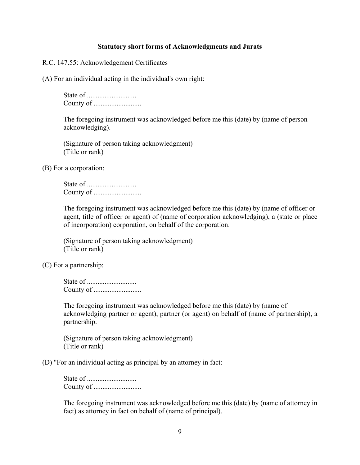#### **Statutory short forms of Acknowledgments and Jurats**

#### R.C. 147.55: Acknowledgement Certificates

(A) For an individual acting in the individual's own right:

State of ............................ County of ...........................

The foregoing instrument was acknowledged before me this (date) by (name of person acknowledging).

(Signature of person taking acknowledgment) (Title or rank)

(B) For a corporation:

State of ............................ County of ...........................

The foregoing instrument was acknowledged before me this (date) by (name of officer or agent, title of officer or agent) of (name of corporation acknowledging), a (state or place of incorporation) corporation, on behalf of the corporation.

(Signature of person taking acknowledgment) (Title or rank)

(C) For a partnership:

State of ............................ County of ...........................

The foregoing instrument was acknowledged before me this (date) by (name of acknowledging partner or agent), partner (or agent) on behalf of (name of partnership), a partnership.

(Signature of person taking acknowledgment) (Title or rank)

(D) "For an individual acting as principal by an attorney in fact:

State of ............................ County of ...........................

The foregoing instrument was acknowledged before me this (date) by (name of attorney in fact) as attorney in fact on behalf of (name of principal).